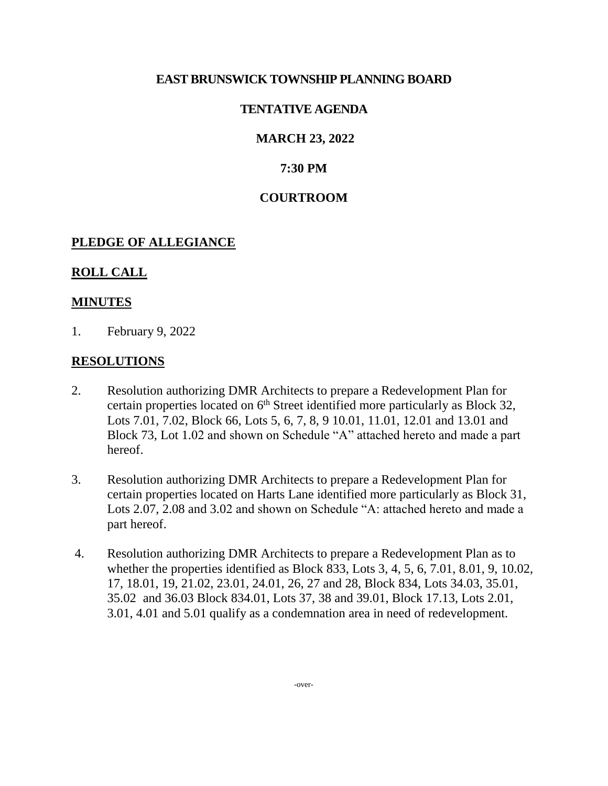### **EAST BRUNSWICK TOWNSHIP PLANNING BOARD**

# **TENTATIVE AGENDA**

# **MARCH 23, 2022**

# **7:30 PM**

### **COURTROOM**

### **PLEDGE OF ALLEGIANCE**

### **ROLL CALL**

### **MINUTES**

1. February 9, 2022

### **RESOLUTIONS**

- 2. Resolution authorizing DMR Architects to prepare a Redevelopment Plan for certain properties located on  $6<sup>th</sup>$  Street identified more particularly as Block 32, Lots 7.01, 7.02, Block 66, Lots 5, 6, 7, 8, 9 10.01, 11.01, 12.01 and 13.01 and Block 73, Lot 1.02 and shown on Schedule "A" attached hereto and made a part hereof.
- 3. Resolution authorizing DMR Architects to prepare a Redevelopment Plan for certain properties located on Harts Lane identified more particularly as Block 31, Lots 2.07, 2.08 and 3.02 and shown on Schedule "A: attached hereto and made a part hereof.
- 4. Resolution authorizing DMR Architects to prepare a Redevelopment Plan as to whether the properties identified as Block 833, Lots 3, 4, 5, 6, 7.01, 8.01, 9, 10.02, 17, 18.01, 19, 21.02, 23.01, 24.01, 26, 27 and 28, Block 834, Lots 34.03, 35.01, 35.02 and 36.03 Block 834.01, Lots 37, 38 and 39.01, Block 17.13, Lots 2.01, 3.01, 4.01 and 5.01 qualify as a condemnation area in need of redevelopment.